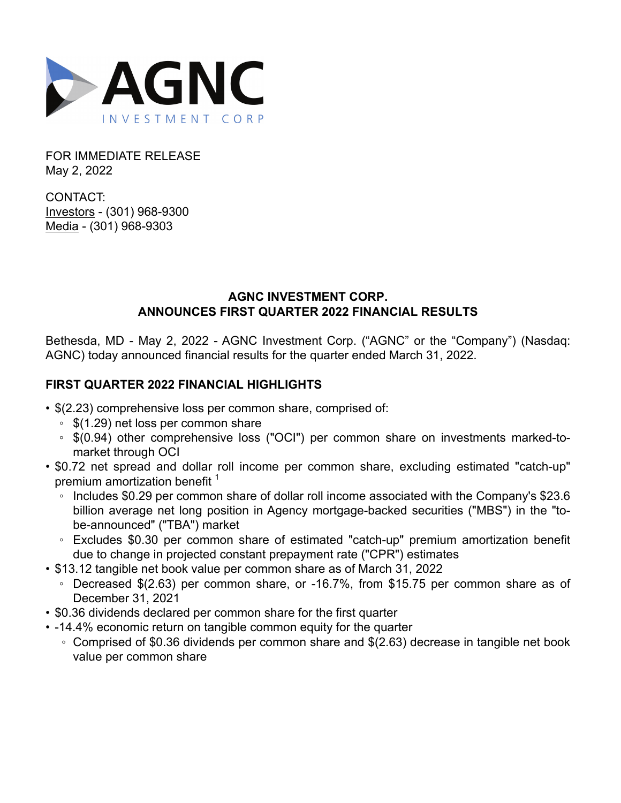

FOR IMMEDIATE RELEASE May 2, 2022

CONTACT: Investors - (301) 968-9300 Media - (301) 968-9303

## **AGNC INVESTMENT CORP. ANNOUNCES FIRST QUARTER 2022 FINANCIAL RESULTS**

Bethesda, MD - May 2, 2022 - AGNC Investment Corp. ("AGNC" or the "Company") (Nasdaq: AGNC) today announced financial results for the quarter ended March 31, 2022.

# **FIRST QUARTER 2022 FINANCIAL HIGHLIGHTS**

- \$(2.23) comprehensive loss per common share, comprised of:
	- \$(1.29) net loss per common share
	- \$(0.94) other comprehensive loss ("OCI") per common share on investments marked-tomarket through OCI
- \$0.72 net spread and dollar roll income per common share, excluding estimated "catch-up" premium amortization benefit  $1$ 
	- Includes \$0.29 per common share of dollar roll income associated with the Company's \$23.6 billion average net long position in Agency mortgage-backed securities ("MBS") in the "tobe-announced" ("TBA") market
	- Excludes \$0.30 per common share of estimated "catch-up" premium amortization benefit due to change in projected constant prepayment rate ("CPR") estimates
- \$13.12 tangible net book value per common share as of March 31, 2022
	- Decreased \$(2.63) per common share, or -16.7%, from \$15.75 per common share as of December 31, 2021
- \$0.36 dividends declared per common share for the first quarter
- -14.4% economic return on tangible common equity for the quarter
	- Comprised of \$0.36 dividends per common share and \$(2.63) decrease in tangible net book value per common share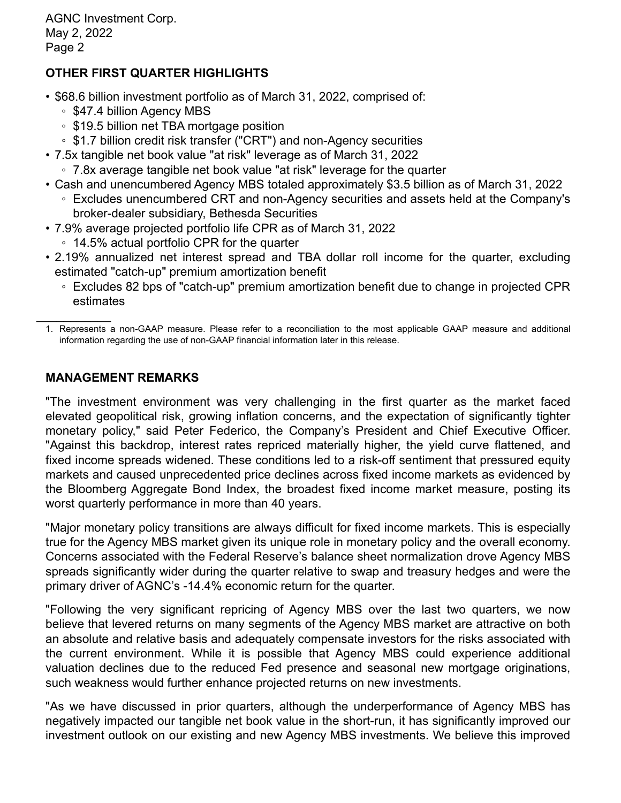# **OTHER FIRST QUARTER HIGHLIGHTS**

- \$68.6 billion investment portfolio as of March 31, 2022, comprised of:
	- \$47.4 billion Agency MBS
	- \$19.5 billion net TBA mortgage position
	- \$1.7 billion credit risk transfer ("CRT") and non-Agency securities
- 7.5x tangible net book value "at risk" leverage as of March 31, 2022
	- 7.8x average tangible net book value "at risk" leverage for the quarter
- Cash and unencumbered Agency MBS totaled approximately \$3.5 billion as of March 31, 2022 ◦ Excludes unencumbered CRT and non-Agency securities and assets held at the Company's broker-dealer subsidiary, Bethesda Securities
- 7.9% average projected portfolio life CPR as of March 31, 2022
	- 14.5% actual portfolio CPR for the quarter
- 2.19% annualized net interest spread and TBA dollar roll income for the quarter, excluding estimated "catch-up" premium amortization benefit
	- Excludes 82 bps of "catch-up" premium amortization benefit due to change in projected CPR estimates

### **MANAGEMENT REMARKS**

"The investment environment was very challenging in the first quarter as the market faced elevated geopolitical risk, growing inflation concerns, and the expectation of significantly tighter monetary policy," said Peter Federico, the Company's President and Chief Executive Officer. "Against this backdrop, interest rates repriced materially higher, the yield curve flattened, and fixed income spreads widened. These conditions led to a risk-off sentiment that pressured equity markets and caused unprecedented price declines across fixed income markets as evidenced by the Bloomberg Aggregate Bond Index, the broadest fixed income market measure, posting its worst quarterly performance in more than 40 years.

"Major monetary policy transitions are always difficult for fixed income markets. This is especially true for the Agency MBS market given its unique role in monetary policy and the overall economy. Concerns associated with the Federal Reserve's balance sheet normalization drove Agency MBS spreads significantly wider during the quarter relative to swap and treasury hedges and were the primary driver of AGNC's -14.4% economic return for the quarter.

"Following the very significant repricing of Agency MBS over the last two quarters, we now believe that levered returns on many segments of the Agency MBS market are attractive on both an absolute and relative basis and adequately compensate investors for the risks associated with the current environment. While it is possible that Agency MBS could experience additional valuation declines due to the reduced Fed presence and seasonal new mortgage originations, such weakness would further enhance projected returns on new investments.

"As we have discussed in prior quarters, although the underperformance of Agency MBS has negatively impacted our tangible net book value in the short-run, it has significantly improved our investment outlook on our existing and new Agency MBS investments. We believe this improved

 $\frac{1}{2}$ 1. Represents a non-GAAP measure. Please refer to a reconciliation to the most applicable GAAP measure and additional information regarding the use of non-GAAP financial information later in this release.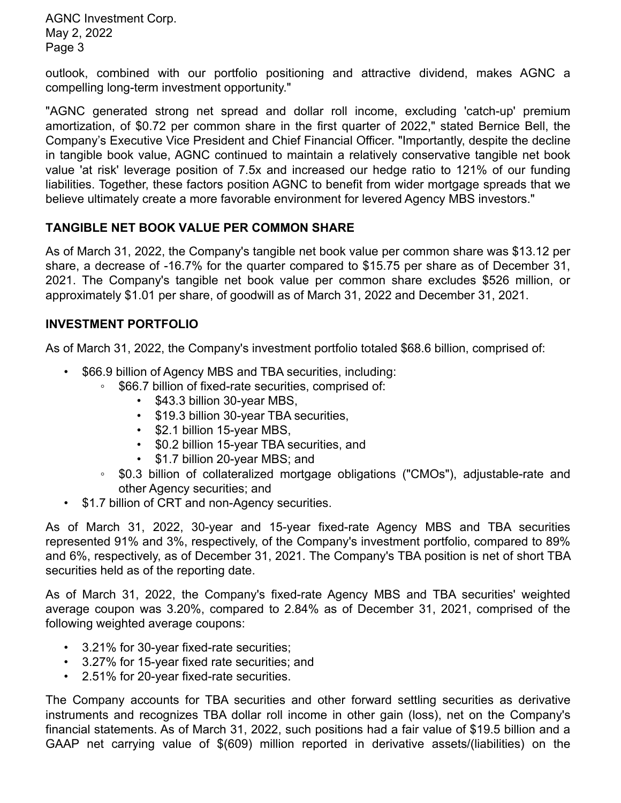outlook, combined with our portfolio positioning and attractive dividend, makes AGNC a compelling long-term investment opportunity."

"AGNC generated strong net spread and dollar roll income, excluding 'catch-up' premium amortization, of \$0.72 per common share in the first quarter of 2022," stated Bernice Bell, the Company's Executive Vice President and Chief Financial Officer. "Importantly, despite the decline in tangible book value, AGNC continued to maintain a relatively conservative tangible net book value 'at risk' leverage position of 7.5x and increased our hedge ratio to 121% of our funding liabilities. Together, these factors position AGNC to benefit from wider mortgage spreads that we believe ultimately create a more favorable environment for levered Agency MBS investors."

## **TANGIBLE NET BOOK VALUE PER COMMON SHARE**

As of March 31, 2022, the Company's tangible net book value per common share was \$13.12 per share, a decrease of -16.7% for the quarter compared to \$15.75 per share as of December 31, 2021. The Company's tangible net book value per common share excludes \$526 million, or approximately \$1.01 per share, of goodwill as of March 31, 2022 and December 31, 2021.

### **INVESTMENT PORTFOLIO**

As of March 31, 2022, the Company's investment portfolio totaled \$68.6 billion, comprised of:

- \$66.9 billion of Agency MBS and TBA securities, including:
	- \$66.7 billion of fixed-rate securities, comprised of:
		- \$43.3 billion 30-year MBS,
		- \$19.3 billion 30-year TBA securities,
		- \$2.1 billion 15-year MBS,
		- \$0.2 billion 15-year TBA securities, and
		- \$1.7 billion 20-year MBS; and
	- \$0.3 billion of collateralized mortgage obligations ("CMOs"), adjustable-rate and other Agency securities; and
- \$1.7 billion of CRT and non-Agency securities.

As of March 31, 2022, 30-year and 15-year fixed-rate Agency MBS and TBA securities represented 91% and 3%, respectively, of the Company's investment portfolio, compared to 89% and 6%, respectively, as of December 31, 2021. The Company's TBA position is net of short TBA securities held as of the reporting date.

As of March 31, 2022, the Company's fixed-rate Agency MBS and TBA securities' weighted average coupon was 3.20%, compared to 2.84% as of December 31, 2021, comprised of the following weighted average coupons:

- 3.21% for 30-year fixed-rate securities;
- 3.27% for 15-year fixed rate securities; and
- 2.51% for 20-year fixed-rate securities.

The Company accounts for TBA securities and other forward settling securities as derivative instruments and recognizes TBA dollar roll income in other gain (loss), net on the Company's financial statements. As of March 31, 2022, such positions had a fair value of \$19.5 billion and a GAAP net carrying value of \$(609) million reported in derivative assets/(liabilities) on the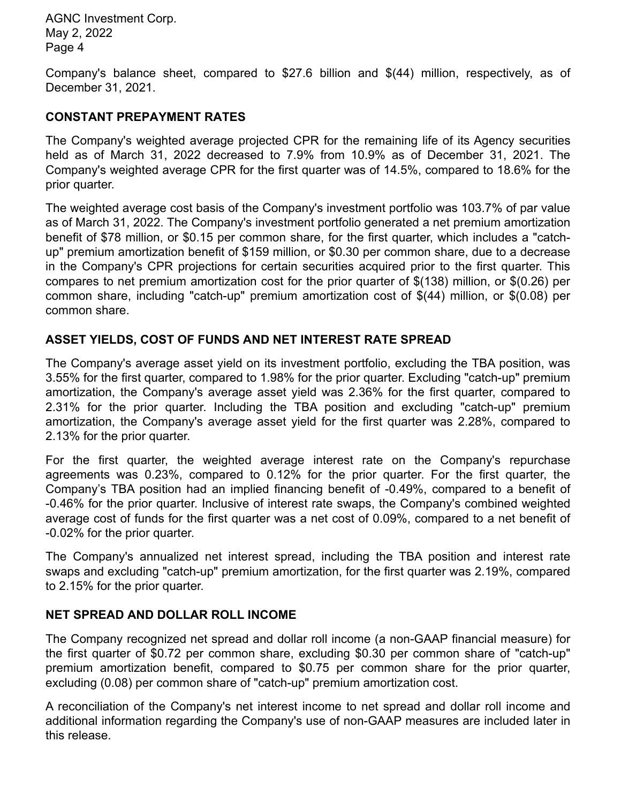Company's balance sheet, compared to \$27.6 billion and \$(44) million, respectively, as of December 31, 2021.

## **CONSTANT PREPAYMENT RATES**

The Company's weighted average projected CPR for the remaining life of its Agency securities held as of March 31, 2022 decreased to 7.9% from 10.9% as of December 31, 2021. The Company's weighted average CPR for the first quarter was of 14.5%, compared to 18.6% for the prior quarter.

The weighted average cost basis of the Company's investment portfolio was 103.7% of par value as of March 31, 2022. The Company's investment portfolio generated a net premium amortization benefit of \$78 million, or \$0.15 per common share, for the first quarter, which includes a "catchup" premium amortization benefit of \$159 million, or \$0.30 per common share, due to a decrease in the Company's CPR projections for certain securities acquired prior to the first quarter. This compares to net premium amortization cost for the prior quarter of \$(138) million, or \$(0.26) per common share, including "catch-up" premium amortization cost of \$(44) million, or \$(0.08) per common share.

# **ASSET YIELDS, COST OF FUNDS AND NET INTEREST RATE SPREAD**

The Company's average asset yield on its investment portfolio, excluding the TBA position, was 3.55% for the first quarter, compared to 1.98% for the prior quarter. Excluding "catch-up" premium amortization, the Company's average asset yield was 2.36% for the first quarter, compared to 2.31% for the prior quarter. Including the TBA position and excluding "catch-up" premium amortization, the Company's average asset yield for the first quarter was 2.28%, compared to 2.13% for the prior quarter.

For the first quarter, the weighted average interest rate on the Company's repurchase agreements was 0.23%, compared to 0.12% for the prior quarter. For the first quarter, the Company's TBA position had an implied financing benefit of -0.49%, compared to a benefit of -0.46% for the prior quarter. Inclusive of interest rate swaps, the Company's combined weighted average cost of funds for the first quarter was a net cost of 0.09%, compared to a net benefit of -0.02% for the prior quarter.

The Company's annualized net interest spread, including the TBA position and interest rate swaps and excluding "catch-up" premium amortization, for the first quarter was 2.19%, compared to 2.15% for the prior quarter.

## **NET SPREAD AND DOLLAR ROLL INCOME**

The Company recognized net spread and dollar roll income (a non-GAAP financial measure) for the first quarter of \$0.72 per common share, excluding \$0.30 per common share of "catch-up" premium amortization benefit, compared to \$0.75 per common share for the prior quarter, excluding (0.08) per common share of "catch-up" premium amortization cost.

A reconciliation of the Company's net interest income to net spread and dollar roll income and additional information regarding the Company's use of non-GAAP measures are included later in this release.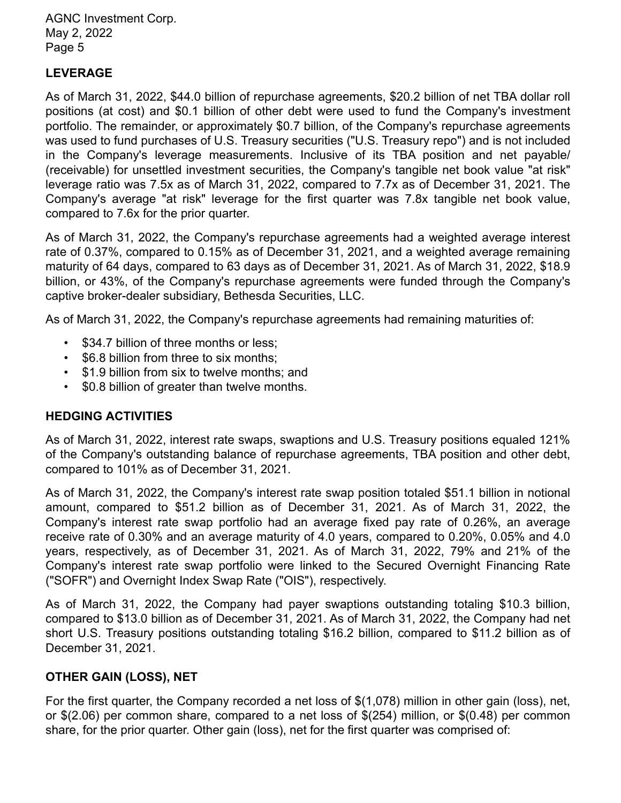## **LEVERAGE**

As of March 31, 2022, \$44.0 billion of repurchase agreements, \$20.2 billion of net TBA dollar roll positions (at cost) and \$0.1 billion of other debt were used to fund the Company's investment portfolio. The remainder, or approximately \$0.7 billion, of the Company's repurchase agreements was used to fund purchases of U.S. Treasury securities ("U.S. Treasury repo") and is not included in the Company's leverage measurements. Inclusive of its TBA position and net payable/ (receivable) for unsettled investment securities, the Company's tangible net book value "at risk" leverage ratio was 7.5x as of March 31, 2022, compared to 7.7x as of December 31, 2021. The Company's average "at risk" leverage for the first quarter was 7.8x tangible net book value, compared to 7.6x for the prior quarter.

As of March 31, 2022, the Company's repurchase agreements had a weighted average interest rate of 0.37%, compared to 0.15% as of December 31, 2021, and a weighted average remaining maturity of 64 days, compared to 63 days as of December 31, 2021. As of March 31, 2022, \$18.9 billion, or 43%, of the Company's repurchase agreements were funded through the Company's captive broker-dealer subsidiary, Bethesda Securities, LLC.

As of March 31, 2022, the Company's repurchase agreements had remaining maturities of:

- \$34.7 billion of three months or less;
- \$6.8 billion from three to six months;
- \$1.9 billion from six to twelve months; and
- \$0.8 billion of greater than twelve months.

### **HEDGING ACTIVITIES**

As of March 31, 2022, interest rate swaps, swaptions and U.S. Treasury positions equaled 121% of the Company's outstanding balance of repurchase agreements, TBA position and other debt, compared to 101% as of December 31, 2021.

As of March 31, 2022, the Company's interest rate swap position totaled \$51.1 billion in notional amount, compared to \$51.2 billion as of December 31, 2021. As of March 31, 2022, the Company's interest rate swap portfolio had an average fixed pay rate of 0.26%, an average receive rate of 0.30% and an average maturity of 4.0 years, compared to 0.20%, 0.05% and 4.0 years, respectively, as of December 31, 2021. As of March 31, 2022, 79% and 21% of the Company's interest rate swap portfolio were linked to the Secured Overnight Financing Rate ("SOFR") and Overnight Index Swap Rate ("OIS"), respectively.

As of March 31, 2022, the Company had payer swaptions outstanding totaling \$10.3 billion, compared to \$13.0 billion as of December 31, 2021. As of March 31, 2022, the Company had net short U.S. Treasury positions outstanding totaling \$16.2 billion, compared to \$11.2 billion as of December 31, 2021.

### **OTHER GAIN (LOSS), NET**

For the first quarter, the Company recorded a net loss of \$(1,078) million in other gain (loss), net, or \$(2.06) per common share, compared to a net loss of \$(254) million, or \$(0.48) per common share, for the prior quarter. Other gain (loss), net for the first quarter was comprised of: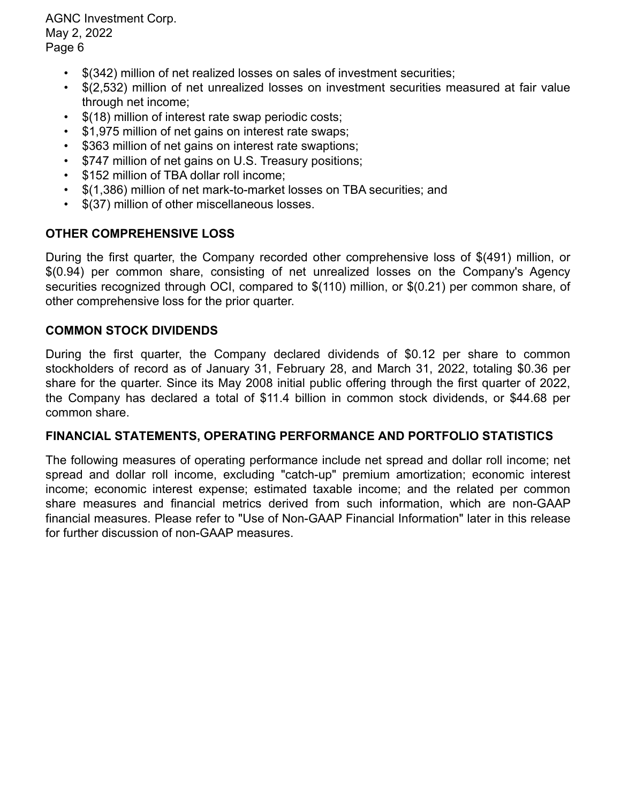- \$(342) million of net realized losses on sales of investment securities;
- \$(2,532) million of net unrealized losses on investment securities measured at fair value through net income;
- \$(18) million of interest rate swap periodic costs;
- \$1,975 million of net gains on interest rate swaps;
- \$363 million of net gains on interest rate swaptions;
- \$747 million of net gains on U.S. Treasury positions;
- \$152 million of TBA dollar roll income;
- \$(1,386) million of net mark-to-market losses on TBA securities; and
- \$(37) million of other miscellaneous losses.

### **OTHER COMPREHENSIVE LOSS**

During the first quarter, the Company recorded other comprehensive loss of \$(491) million, or \$(0.94) per common share, consisting of net unrealized losses on the Company's Agency securities recognized through OCI, compared to \$(110) million, or \$(0.21) per common share, of other comprehensive loss for the prior quarter.

### **COMMON STOCK DIVIDENDS**

During the first quarter, the Company declared dividends of \$0.12 per share to common stockholders of record as of January 31, February 28, and March 31, 2022, totaling \$0.36 per share for the quarter. Since its May 2008 initial public offering through the first quarter of 2022, the Company has declared a total of \$11.4 billion in common stock dividends, or \$44.68 per common share.

### **FINANCIAL STATEMENTS, OPERATING PERFORMANCE AND PORTFOLIO STATISTICS**

The following measures of operating performance include net spread and dollar roll income; net spread and dollar roll income, excluding "catch-up" premium amortization; economic interest income; economic interest expense; estimated taxable income; and the related per common share measures and financial metrics derived from such information, which are non-GAAP financial measures. Please refer to "Use of Non-GAAP Financial Information" later in this release for further discussion of non-GAAP measures.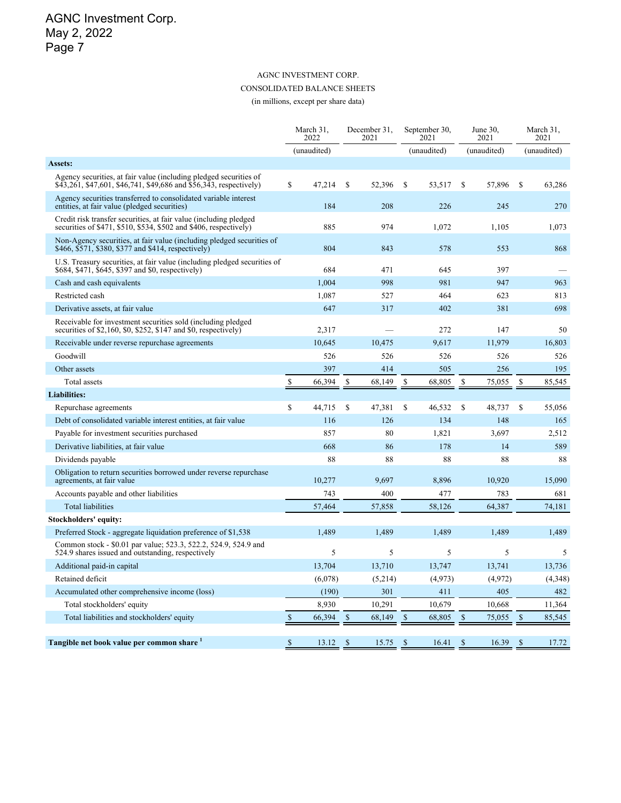## AGNC INVESTMENT CORP. CONSOLIDATED BALANCE SHEETS

(in millions, except per share data)

|                                                                                                                                         |             | March 31,<br>2022 |              | December 31,<br>2021 |               | September 30,<br>2021 |               | June 30,<br>2021 |               | March 31,<br>2021 |
|-----------------------------------------------------------------------------------------------------------------------------------------|-------------|-------------------|--------------|----------------------|---------------|-----------------------|---------------|------------------|---------------|-------------------|
|                                                                                                                                         |             | (unaudited)       |              |                      |               | (unaudited)           |               | (unaudited)      |               | (unaudited)       |
| Assets:                                                                                                                                 |             |                   |              |                      |               |                       |               |                  |               |                   |
| Agency securities, at fair value (including pledged securities of<br>\$43,261, \$47,601, \$46,741, \$49,686 and \$56,343, respectively) | \$          | 47,214            | \$           | 52,396               | <sup>\$</sup> | 53,517                | <sup>\$</sup> | 57,896           | \$            | 63,286            |
| Agency securities transferred to consolidated variable interest<br>entities, at fair value (pledged securities)                         |             | 184               |              | 208                  |               | 226                   |               | 245              |               | 270               |
| Credit risk transfer securities, at fair value (including pledged<br>securities of \$471, \$510, \$534, \$502 and \$406, respectively)  |             | 885               |              | 974                  |               | 1,072                 |               | 1,105            |               | 1,073             |
| Non-Agency securities, at fair value (including pledged securities of<br>\$466, \$571, \$380, \$377 and \$414, respectively)            |             | 804               |              | 843                  |               | 578                   |               | 553              |               | 868               |
| U.S. Treasury securities, at fair value (including pledged securities of<br>\$684, \$471, \$645, \$397 and \$0, respectively)           |             | 684               |              | 471                  |               | 645                   |               | 397              |               |                   |
| Cash and cash equivalents                                                                                                               |             | 1,004             |              | 998                  |               | 981                   |               | 947              |               | 963               |
| Restricted cash                                                                                                                         |             | 1,087             |              | 527                  |               | 464                   |               | 623              |               | 813               |
| Derivative assets, at fair value                                                                                                        |             | 647               |              | 317                  |               | 402                   |               | 381              |               | 698               |
| Receivable for investment securities sold (including pledged)<br>securities of $$2,160, $0, $252, $147 \text{ and } $0,$ respectively)  |             | 2,317             |              |                      |               | 272                   |               | 147              |               | 50                |
| Receivable under reverse repurchase agreements                                                                                          |             | 10,645            |              | 10,475               |               | 9,617                 |               | 11,979           |               | 16,803            |
| Goodwill                                                                                                                                |             | 526               |              | 526                  |               | 526                   |               | 526              |               | 526               |
| Other assets                                                                                                                            |             | 397               |              | 414                  |               | 505                   |               | 256              |               | 195               |
| Total assets                                                                                                                            | $\mathbf S$ | 66,394            | S            | 68,149               | \$            | 68,805                | S             | 75,055           | \$            | 85,545            |
| <b>Liabilities:</b>                                                                                                                     |             |                   |              |                      |               |                       |               |                  |               |                   |
| Repurchase agreements                                                                                                                   | \$          | 44,715            | \$           | 47,381               | \$            | 46,532                | \$            | 48,737           | <sup>\$</sup> | 55,056            |
| Debt of consolidated variable interest entities, at fair value                                                                          |             | 116               |              | 126                  |               | 134                   |               | 148              |               | 165               |
| Payable for investment securities purchased                                                                                             |             | 857               |              | 80                   |               | 1,821                 |               | 3,697            |               | 2,512             |
| Derivative liabilities, at fair value                                                                                                   |             | 668               |              | 86                   |               | 178                   |               | 14               |               | 589               |
| Dividends payable                                                                                                                       |             | 88                |              | 88                   |               | 88                    |               | 88               |               | 88                |
| Obligation to return securities borrowed under reverse repurchase<br>agreements, at fair value                                          |             | 10,277            |              | 9,697                |               | 8,896                 |               | 10,920           |               | 15,090            |
| Accounts payable and other liabilities                                                                                                  |             | 743               |              | 400                  |               | 477                   |               | 783              |               | 681               |
| <b>Total liabilities</b>                                                                                                                |             | 57,464            |              | 57,858               |               | 58,126                |               | 64,387           |               | 74,181            |
| Stockholders' equity:                                                                                                                   |             |                   |              |                      |               |                       |               |                  |               |                   |
| Preferred Stock - aggregate liquidation preference of \$1,538                                                                           |             | 1,489             |              | 1,489                |               | 1,489                 |               | 1,489            |               | 1,489             |
| Common stock - \$0.01 par value; 523.3, 522.2, 524.9, 524.9 and<br>524.9 shares issued and outstanding, respectively                    |             | 5                 |              | 5                    |               | 5                     |               | 5                |               | 5                 |
| Additional paid-in capital                                                                                                              |             | 13,704            |              | 13,710               |               | 13,747                |               | 13,741           |               | 13,736            |
| Retained deficit                                                                                                                        |             | (6,078)           |              | (5,214)              |               | (4,973)               |               | (4,972)          |               | (4,348)           |
| Accumulated other comprehensive income (loss)                                                                                           |             | (190)             |              | 301                  |               | 411                   |               | 405              |               | 482               |
| Total stockholders' equity                                                                                                              |             | 8,930             |              | 10,291               |               | 10,679                |               | 10,668           |               | 11,364            |
| Total liabilities and stockholders' equity                                                                                              | \$          | 66,394            | \$           | 68,149               | $\mathbb{S}$  | 68,805                | \$            | 75,055           | $\mathcal{S}$ | 85,545            |
| Tangible net book value per common share <sup>1</sup>                                                                                   | \$          | 13.12             | $\mathbb{S}$ | 15.75                | \$            | 16.41                 | \$            | 16.39            | \$            | 17.72             |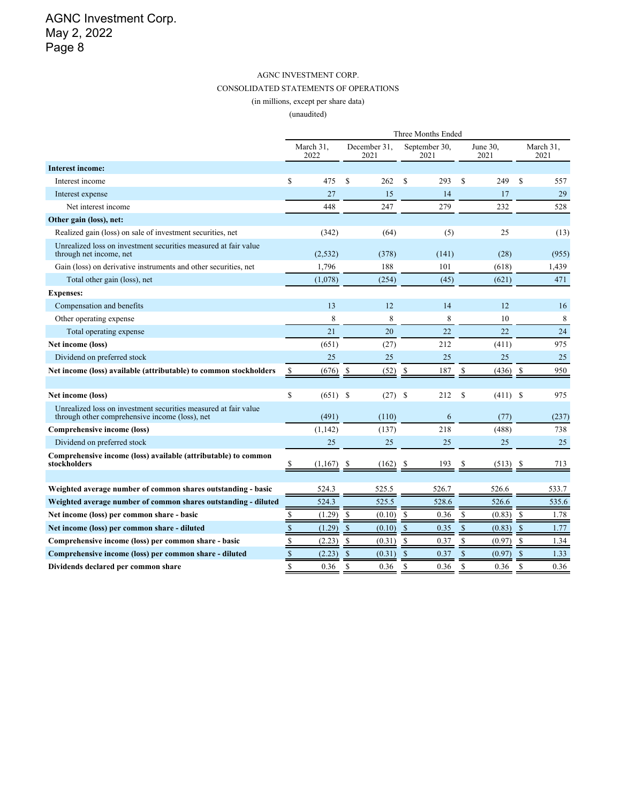#### AGNC INVESTMENT CORP. CONSOLIDATED STATEMENTS OF OPERATIONS

(in millions, except per share data)

|                                                                                                                   | Three Months Ended |                   |               |                      |                       |                  |            |               |                   |  |
|-------------------------------------------------------------------------------------------------------------------|--------------------|-------------------|---------------|----------------------|-----------------------|------------------|------------|---------------|-------------------|--|
|                                                                                                                   |                    | March 31.<br>2022 |               | December 31,<br>2021 | September 30,<br>2021 | June 30,<br>2021 |            |               | March 31,<br>2021 |  |
| <b>Interest income:</b>                                                                                           |                    |                   |               |                      |                       |                  |            |               |                   |  |
| Interest income                                                                                                   | S                  | 475               | $\mathbf S$   | 262                  | $\mathbb{S}$<br>293   | $\mathbf S$      | 249        | $\mathbf S$   | 557               |  |
| Interest expense                                                                                                  |                    | 27                |               | 15                   | 14                    |                  | 17         |               | 29                |  |
| Net interest income                                                                                               |                    | 448               |               | 247                  | 279                   |                  | 232        |               | 528               |  |
| Other gain (loss), net:                                                                                           |                    |                   |               |                      |                       |                  |            |               |                   |  |
| Realized gain (loss) on sale of investment securities, net                                                        |                    | (342)             |               | (64)                 | (5)                   |                  | 25         |               | (13)              |  |
| Unrealized loss on investment securities measured at fair value<br>through net income, net                        |                    | (2, 532)          |               | (378)                | (141)                 |                  | (28)       |               | (955)             |  |
| Gain (loss) on derivative instruments and other securities, net                                                   |                    | 1,796             |               | 188                  | 101                   |                  | (618)      |               | 1,439             |  |
| Total other gain (loss), net                                                                                      |                    | (1,078)           |               | (254)                | (45)                  |                  | (621)      |               | 471               |  |
| <b>Expenses:</b>                                                                                                  |                    |                   |               |                      |                       |                  |            |               |                   |  |
| Compensation and benefits                                                                                         |                    | 13                |               | 12                   | 14                    |                  | 12         |               | 16                |  |
| Other operating expense                                                                                           |                    | 8                 |               | 8                    | 8                     |                  | 10         |               | 8                 |  |
| Total operating expense                                                                                           |                    | 21                |               | 20                   | 22                    |                  | 22         |               | 24                |  |
| Net income (loss)                                                                                                 |                    | (651)             |               | (27)                 | 212                   |                  | (411)      |               | 975               |  |
| Dividend on preferred stock                                                                                       |                    | 25                |               | 25                   | 25                    |                  | 25         |               | 25                |  |
| Net income (loss) available (attributable) to common stockholders                                                 | \$                 | (676)             | \$            | (52)                 | \$<br>187             | \$               | (436)      | -S            | 950               |  |
|                                                                                                                   |                    |                   |               |                      |                       |                  |            |               |                   |  |
| Net income (loss)                                                                                                 | S                  | (651)             | <sup>\$</sup> | (27)                 | - \$<br>212           | \$               | $(411)$ \$ |               | 975               |  |
| Unrealized loss on investment securities measured at fair value<br>through other comprehensive income (loss), net |                    | (491)             |               | (110)                | 6                     |                  | (77)       |               | (237)             |  |
| Comprehensive income (loss)                                                                                       |                    | (1, 142)          |               | (137)                | 218                   |                  | (488)      |               | 738               |  |
| Dividend on preferred stock                                                                                       |                    | 25                |               | 25                   | 25                    |                  | 25         |               | 25                |  |
| Comprehensive income (loss) available (attributable) to common<br>stockholders                                    | S                  | (1,167)           |               | (162)                | 193<br>S              | S.               | (513)      | -S            | 713               |  |
|                                                                                                                   |                    |                   |               |                      |                       |                  |            |               |                   |  |
| Weighted average number of common shares outstanding - basic                                                      |                    | 524.3             |               | 525.5                | 526.7                 |                  | 526.6      |               | 533.7             |  |
| Weighted average number of common shares outstanding - diluted                                                    |                    | 524.3             |               | 525.5                | 528.6                 |                  | 526.6      |               | 535.6             |  |
| Net income (loss) per common share - basic                                                                        | \$                 | (1.29)            | \$            | (0.10)               | 0.36<br>\$            | \$               | (0.83)     | -S            | 1.78              |  |
| Net income (loss) per common share - diluted                                                                      | $\mathbb S$        | (1.29)            | $\mathbb{S}$  | (0.10)               | $\mathbb{S}$<br>0.35  | $\mathsf{\$}$    | (0.83)     | $\mathcal{S}$ | 1.77              |  |
| Comprehensive income (loss) per common share - basic                                                              | $\mathbb S$        | (2.23)            | $\mathbb{S}$  | (0.31)               | $\mathbf S$<br>0.37   | \$               | (0.97)     | $\mathbb{S}$  | 1.34              |  |
| Comprehensive income (loss) per common share - diluted                                                            | $\mathbb{S}$       | (2.23)            | \$            | (0.31)               | $\mathbb{S}$<br>0.37  | $\$$             | (0.97)     | \$            | 1.33              |  |
| Dividends declared per common share                                                                               | $\mathbb{S}$       | 0.36              | \$            | 0.36                 | $\mathbb{S}$<br>0.36  | \$               | 0.36       | \$            | 0.36              |  |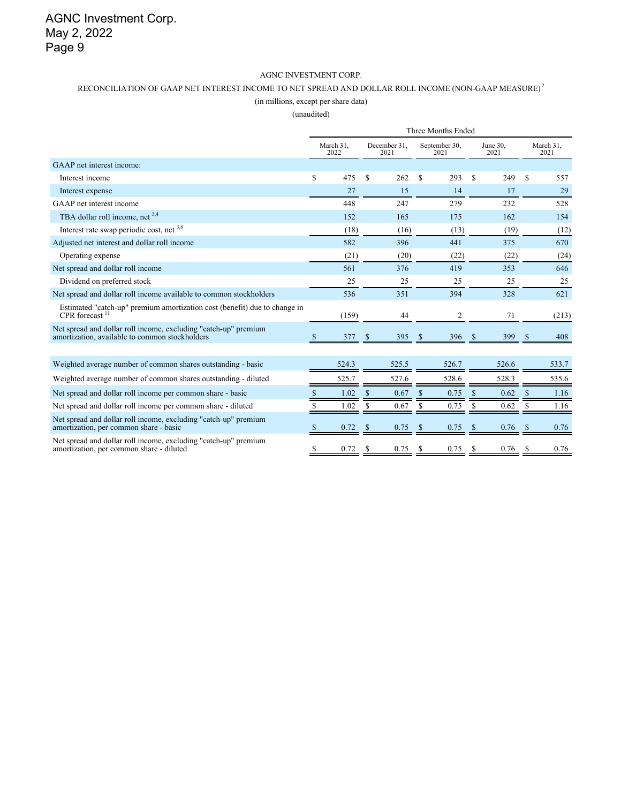#### AGNC INVESTMENT CORP.

#### RECONCILIATION OF GAAP NET INTEREST INCOME TO NET SPREAD AND DOLLAR ROLL INCOME (NON-GAAP MEASURE) $^2$

#### (in millions, except per share data)

|                                                                                                                   | Three Months Ended |                   |                      |       |                       |                |                  |       |    |                   |  |
|-------------------------------------------------------------------------------------------------------------------|--------------------|-------------------|----------------------|-------|-----------------------|----------------|------------------|-------|----|-------------------|--|
|                                                                                                                   |                    | March 31.<br>2022 | December 31.<br>2021 |       | September 30,<br>2021 |                | June 30.<br>2021 |       |    | March 31,<br>2021 |  |
| GAAP net interest income:                                                                                         |                    |                   |                      |       |                       |                |                  |       |    |                   |  |
| Interest income                                                                                                   | \$                 | 475               | \$                   | 262   | <sup>\$</sup>         | 293            | \$               | 249   | S  | 557               |  |
| Interest expense                                                                                                  |                    | 27                |                      | 15    |                       | 14             |                  | 17    |    | 29                |  |
| GAAP net interest income                                                                                          |                    | 448               |                      | 247   |                       | 279            |                  | 232   |    | 528               |  |
| TBA dollar roll income, net $3,4$                                                                                 |                    | 152               |                      | 165   |                       | 175            |                  | 162   |    | 154               |  |
| Interest rate swap periodic cost, net 3,8                                                                         |                    | (18)              |                      | (16)  |                       | (13)           |                  | (19)  |    | (12)              |  |
| Adjusted net interest and dollar roll income                                                                      |                    | 582               |                      | 396   |                       | 441            |                  | 375   |    | 670               |  |
| Operating expense                                                                                                 |                    | (21)              |                      | (20)  |                       | (22)           |                  | (22)  |    | (24)              |  |
| Net spread and dollar roll income                                                                                 |                    | 561               |                      | 376   |                       | 419            |                  | 353   |    | 646               |  |
| Dividend on preferred stock                                                                                       |                    | 25                |                      | 25    |                       | 25             |                  | 25    |    | 25                |  |
| Net spread and dollar roll income available to common stockholders                                                |                    | 536               |                      | 351   |                       | 394            |                  | 328   |    | 621               |  |
| Estimated "catch-up" premium amortization cost (benefit) due to change in<br>CPR forecast $11$                    |                    | (159)             |                      | 44    |                       | $\overline{2}$ |                  | 71    |    | (213)             |  |
| Net spread and dollar roll income, excluding "catch-up" premium<br>amortization, available to common stockholders | <sup>8</sup>       | 377               | <sup>\$</sup>        | 395   | S                     | 396            | S                | 399   | S  | 408               |  |
|                                                                                                                   |                    |                   |                      |       |                       |                |                  |       |    |                   |  |
| Weighted average number of common shares outstanding - basic                                                      |                    | 524.3             |                      | 525.5 |                       | 526.7          |                  | 526.6 |    | 533.7             |  |
| Weighted average number of common shares outstanding - diluted                                                    |                    | 525.7             |                      | 527.6 |                       | 528.6          |                  | 528.3 |    | 535.6             |  |
| Net spread and dollar roll income per common share - basic                                                        |                    | 1.02              | S                    | 0.67  |                       | 0.75           |                  | 0.62  | -S | 1.16              |  |
| Net spread and dollar roll income per common share - diluted                                                      |                    | 1.02              | S                    | 0.67  | S                     | 0.75           | S                | 0.62  | S  | 1.16              |  |
| Net spread and dollar roll income, excluding "catch-up" premium<br>amortization, per common share - basic         |                    | 0.72              | S                    | 0.75  |                       | 0.75           |                  | 0.76  | S  | 0.76              |  |
| Net spread and dollar roll income, excluding "catch-up" premium<br>amortization, per common share - diluted       | \$                 | 0.72              | S                    | 0.75  | S                     | 0.75           | \$.              | 0.76  | S  | 0.76              |  |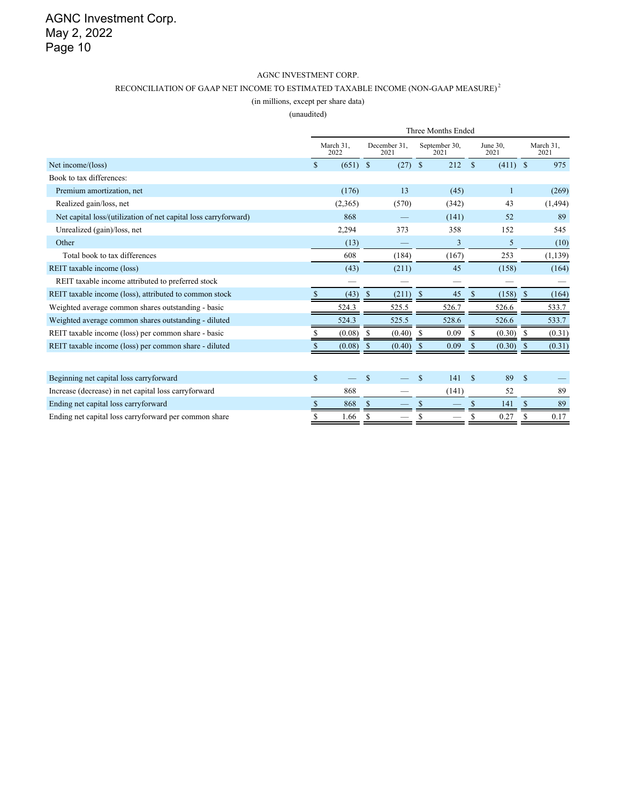#### AGNC INVESTMENT CORP.

#### RECONCILIATION OF GAAP NET INCOME TO ESTIMATED TAXABLE INCOME (NON-GAAP MEASURE)  $^2$

(in millions, except per share data)

|                                                                 | Three Months Ended |            |                      |           |                       |       |                  |            |              |                   |
|-----------------------------------------------------------------|--------------------|------------|----------------------|-----------|-----------------------|-------|------------------|------------|--------------|-------------------|
|                                                                 | March 31,<br>2022  |            | December 31.<br>2021 |           | September 30,<br>2021 |       | June 30,<br>2021 |            |              | March 31,<br>2021 |
| Net income/(loss)                                               | \$                 | $(651)$ \$ |                      | $(27)$ \$ |                       | 212   | $\mathbb{S}$     | $(411)$ \$ |              | 975               |
| Book to tax differences:                                        |                    |            |                      |           |                       |       |                  |            |              |                   |
| Premium amortization, net                                       |                    | (176)      |                      | 13        |                       | (45)  |                  | 1          |              | (269)             |
| Realized gain/loss, net                                         |                    | (2,365)    |                      | (570)     |                       | (342) |                  | 43         |              | (1, 494)          |
| Net capital loss/(utilization of net capital loss carryforward) |                    | 868        |                      |           |                       | (141) |                  | 52         |              | 89                |
| Unrealized (gain)/loss, net                                     |                    | 2,294      |                      | 373       |                       | 358   |                  | 152        |              | 545               |
| Other                                                           |                    | (13)       |                      |           |                       | 3     |                  | 5          |              | (10)              |
| Total book to tax differences                                   |                    | 608        |                      | (184)     |                       | (167) |                  | 253        |              | (1, 139)          |
| REIT taxable income (loss)                                      |                    | (43)       |                      | (211)     |                       | 45    |                  | (158)      |              | (164)             |
| REIT taxable income attributed to preferred stock               |                    |            |                      |           |                       |       |                  |            |              |                   |
| REIT taxable income (loss), attributed to common stock          | S.                 | (43)       | <sup>S</sup>         | (211)     | S                     | 45    | \$               | (158)      | <sup>S</sup> | (164)             |
| Weighted average common shares outstanding - basic              |                    | 524.3      |                      | 525.5     |                       | 526.7 |                  | 526.6      |              | 533.7             |
| Weighted average common shares outstanding - diluted            |                    | 524.3      |                      | 525.5     |                       | 528.6 |                  | 526.6      |              | 533.7             |
| REIT taxable income (loss) per common share - basic             | S                  | (0.08)     | S                    | (0.40)    | \$                    | 0.09  | S.               | (0.30)     | -S           | (0.31)            |
| REIT taxable income (loss) per common share - diluted           |                    | (0.08)     | S                    | (0.40)    | S                     | 0.09  |                  | (0.30)     | \$           | (0.31)            |
|                                                                 |                    |            |                      |           |                       |       |                  |            |              |                   |
| Beginning net capital loss carryforward                         | $\mathbb{S}$       |            | $\mathbf S$          |           | S                     | 141   | $\mathbb{S}$     | 89         | $\mathbf S$  |                   |
| Increase (decrease) in net capital loss carryforward            |                    | 868        |                      |           |                       | (141) |                  | 52         |              | 89                |
| Ending net capital loss carryforward                            | \$                 | 868        |                      |           |                       |       | \$               | 141        | \$           | 89                |
| Ending net capital loss carryforward per common share           | \$                 | 1.66       | S                    |           | \$                    |       | S                | 0.27       | \$           | 0.17              |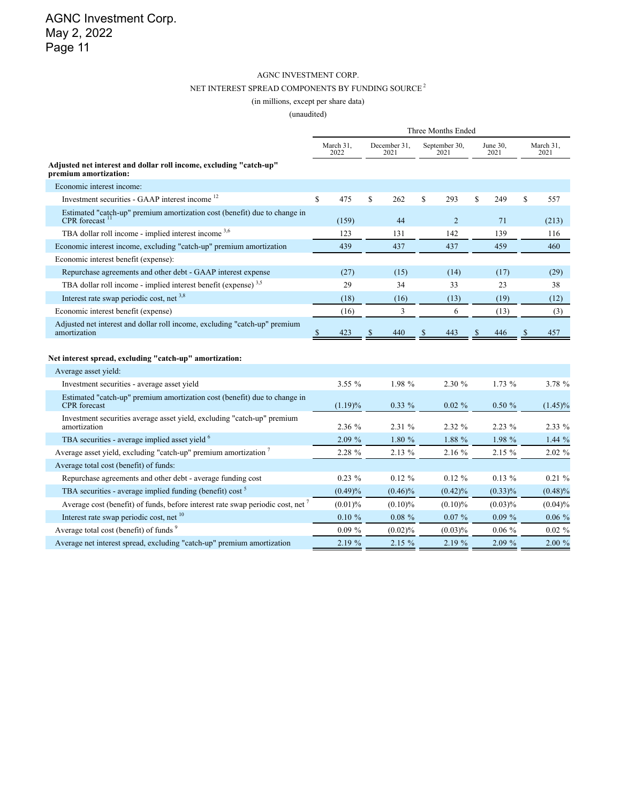#### AGNC INVESTMENT CORP. NET INTEREST SPREAD COMPONENTS BY FUNDING SOURCE  $^2$ (in millions, except per share data)

|                                                                                                  | Three Months Ended |           |                      |            |                       |                |                  |            |              |                   |
|--------------------------------------------------------------------------------------------------|--------------------|-----------|----------------------|------------|-----------------------|----------------|------------------|------------|--------------|-------------------|
|                                                                                                  | March 31,<br>2022  |           | December 31,<br>2021 |            | September 30,<br>2021 |                | June 30,<br>2021 |            |              | March 31,<br>2021 |
| Adjusted net interest and dollar roll income, excluding "catch-up"<br>premium amortization:      |                    |           |                      |            |                       |                |                  |            |              |                   |
| Economic interest income:                                                                        |                    |           |                      |            |                       |                |                  |            |              |                   |
| Investment securities - GAAP interest income <sup>12</sup>                                       | $\mathbf S$        | 475       | $\mathbf S$          | 262        | S                     | 293            | \$               | 249        | \$           | 557               |
| Estimated "catch-up" premium amortization cost (benefit) due to change in<br>CPR forecast $11$   |                    | (159)     |                      | 44         |                       | $\overline{2}$ |                  | 71         |              | (213)             |
| TBA dollar roll income - implied interest income 3,6                                             |                    | 123       |                      | 131        |                       | 142            |                  | 139        |              | 116               |
| Economic interest income, excluding "catch-up" premium amortization                              |                    | 439       |                      | 437        |                       | 437            |                  | 459        |              | 460               |
| Economic interest benefit (expense):                                                             |                    |           |                      |            |                       |                |                  |            |              |                   |
| Repurchase agreements and other debt - GAAP interest expense                                     |                    | (27)      |                      | (15)       |                       | (14)           |                  | (17)       |              | (29)              |
| TBA dollar roll income - implied interest benefit (expense) $3.5$                                |                    | 29        |                      | 34         |                       | 33             |                  | 23         |              | 38                |
| Interest rate swap periodic cost, net 3,8                                                        |                    | (18)      |                      | (16)       |                       | (13)           |                  | (19)       |              | (12)              |
| Economic interest benefit (expense)                                                              |                    | (16)      |                      | 3          |                       | 6              |                  | (13)       |              | (3)               |
| Adjusted net interest and dollar roll income, excluding "catch-up" premium<br>amortization       | <sup>S</sup>       | 423       | $\mathbb{S}$         | 440        | <sup>\$</sup>         | 443            | \$               | 446        | $\mathbb{S}$ | 457               |
| Net interest spread, excluding "catch-up" amortization:                                          |                    |           |                      |            |                       |                |                  |            |              |                   |
| Average asset yield:                                                                             |                    |           |                      |            |                       |                |                  |            |              |                   |
| Investment securities - average asset yield                                                      |                    | 3.55%     |                      | 1.98 %     |                       | 2.30 %         |                  | 1.73%      |              | 3.78 %            |
| Estimated "catch-up" premium amortization cost (benefit) due to change in<br><b>CPR</b> forecast |                    | (1.19)%   |                      | $0.33\%$   |                       | $0.02 \%$      |                  | 0.50%      |              | $(1.45)\%$        |
| Investment securities average asset yield, excluding "catch-up" premium<br>amortization          |                    | 2.36 %    |                      | 2.31 %     |                       | 2.32 %         |                  | $2.23\%$   |              | 2.33 %            |
| TBA securities - average implied asset yield <sup>6</sup>                                        |                    | 2.09 %    |                      | 1.80 %     |                       | 1.88 %         |                  | 1.98 %     |              | 1.44%             |
| Average asset yield, excluding "catch-up" premium amortization 7                                 |                    | 2.28 %    |                      | 2.13 %     |                       | 2.16 %         |                  | 2.15 %     |              | 2.02 %            |
| Average total cost (benefit) of funds:                                                           |                    |           |                      |            |                       |                |                  |            |              |                   |
| Repurchase agreements and other debt - average funding cost                                      |                    | $0.23 \%$ |                      | $0.12 \%$  |                       | $0.12 \%$      |                  | $0.13\%$   |              | 0.21%             |
| TBA securities - average implied funding (benefit) cost <sup>5</sup>                             |                    | (0.49)%   |                      | $(0.46)\%$ |                       | $(0.42)\%$     |                  | $(0.33)\%$ |              | (0.48)%           |
| Average cost (benefit) of funds, before interest rate swap periodic cost, net <sup>7</sup>       |                    | (0.01)%   |                      | $(0.10)\%$ |                       | $(0.10)\%$     |                  | (0.03)%    |              | (0.04)%           |
| Interest rate swap periodic cost, net <sup>10</sup>                                              |                    | $0.10 \%$ |                      | $0.08 \%$  |                       | $0.07\%$       |                  | $0.09\%$   |              | $0.06 \%$         |
| Average total cost (benefit) of funds <sup>9</sup>                                               |                    | $0.09 \%$ |                      | (0.02)%    |                       | $(0.03)\%$     |                  | $0.06 \%$  |              | $0.02 \%$         |
| Average net interest spread, excluding "catch-up" premium amortization                           |                    | 2.19 %    |                      | 2.15%      |                       | 2.19 %         |                  | 2.09%      |              | 2.00 %            |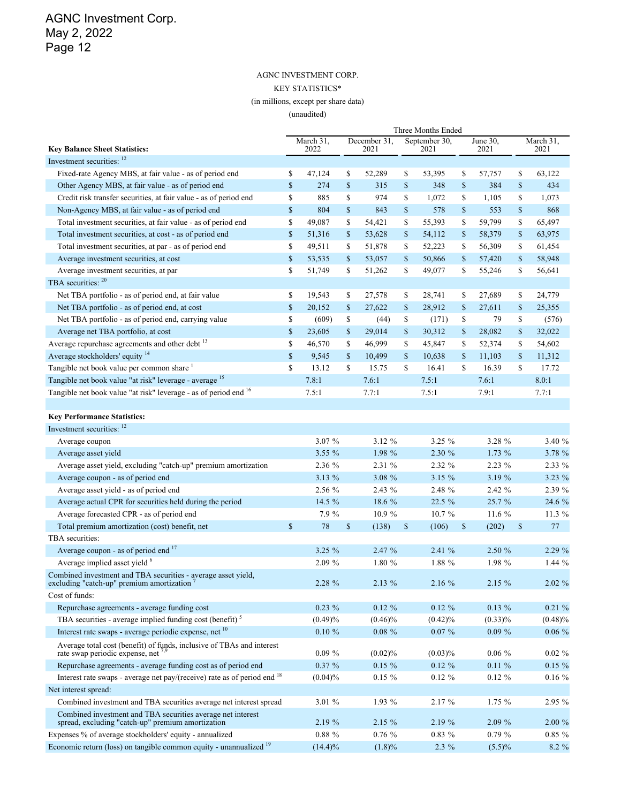### AGNC INVESTMENT CORP. KEY STATISTICS\* (in millions, except per share data)

|                                                                                                                  | Three Months Ended |                   |    |                      |              |                       |             |                  |              |                   |
|------------------------------------------------------------------------------------------------------------------|--------------------|-------------------|----|----------------------|--------------|-----------------------|-------------|------------------|--------------|-------------------|
| <b>Key Balance Sheet Statistics:</b>                                                                             |                    | March 31,<br>2022 |    | December 31,<br>2021 |              | September 30,<br>2021 |             | June 30,<br>2021 |              | March 31,<br>2021 |
| Investment securities: 12                                                                                        |                    |                   |    |                      |              |                       |             |                  |              |                   |
| Fixed-rate Agency MBS, at fair value - as of period end                                                          | \$                 | 47,124            | \$ | 52,289               | \$           | 53,395                | \$          | 57,757           | \$           | 63,122            |
| Other Agency MBS, at fair value - as of period end                                                               | \$                 | 274               | \$ | 315                  | $\mathbb{S}$ | 348                   | $\mathbb S$ | 384              | $\mathbb{S}$ | 434               |
| Credit risk transfer securities, at fair value - as of period end                                                | \$                 | 885               | \$ | 974                  | \$           | 1,072                 | \$          | 1,105            | \$           | 1,073             |
| Non-Agency MBS, at fair value - as of period end                                                                 | \$                 | 804               | \$ | 843                  | $\mathbb{S}$ | 578                   | $\mathbb S$ | 553              | $\mathbb S$  | 868               |
| Total investment securities, at fair value - as of period end                                                    | \$                 | 49,087            | \$ | 54,421               | \$           | 55,393                | \$          | 59,799           | \$           | 65,497            |
| Total investment securities, at cost - as of period end                                                          | \$                 | 51,316            | \$ | 53,628               | \$           | 54,112                | \$          | 58,379           | \$           | 63,975            |
| Total investment securities, at par - as of period end                                                           | \$                 | 49,511            | \$ | 51,878               | \$           | 52,223                | \$          | 56,309           | \$           | 61,454            |
| Average investment securities, at cost                                                                           | \$                 | 53,535            | \$ | 53,057               | \$           | 50,866                | \$          | 57,420           | $\mathbb{S}$ | 58,948            |
| Average investment securities, at par                                                                            | \$                 | 51,749            | \$ | 51,262               | \$           | 49,077                | \$          | 55,246           | \$           | 56,641            |
| TBA securities: 20                                                                                               |                    |                   |    |                      |              |                       |             |                  |              |                   |
| Net TBA portfolio - as of period end, at fair value                                                              | \$                 | 19,543            | \$ | 27,578               | \$           | 28,741                | \$          | 27,689           | \$           | 24,779            |
| Net TBA portfolio - as of period end, at cost                                                                    | \$                 | 20,152            | \$ | 27,622               | \$           | 28,912                | \$          | 27,611           | \$           | 25,355            |
| Net TBA portfolio - as of period end, carrying value                                                             | \$                 | (609)             | \$ | (44)                 | \$           | (171)                 | \$          | 79               | \$           | (576)             |
| Average net TBA portfolio, at cost                                                                               | \$                 | 23,605            | \$ | 29,014               | $\mathbb{S}$ | 30,312                | \$          | 28,082           | $\mathbb{S}$ | 32,022            |
| Average repurchase agreements and other debt <sup>13</sup>                                                       | \$                 | 46,570            | \$ | 46,999               | \$           | 45,847                | \$          | 52,374           | \$           | 54,602            |
| Average stockholders' equity <sup>14</sup>                                                                       | $\mathbb S$        | 9,545             | \$ | 10,499               | \$           | 10,638                | \$          | 11,103           | $\mathbb{S}$ | 11,312            |
| Tangible net book value per common share 1                                                                       | \$                 | 13.12             | \$ | 15.75                | $\mathbb{S}$ | 16.41                 | \$          | 16.39            | \$           | 17.72             |
| Tangible net book value "at risk" leverage - average 15                                                          |                    | 7.8:1             |    | 7.6:1                |              | 7.5:1                 |             | 7.6:1            |              | 8.0:1             |
| Tangible net book value "at risk" leverage - as of period end 16                                                 |                    | 7.5:1             |    | 7.7:1                |              | 7.5:1                 |             | 7.9:1            |              | 7.7:1             |
|                                                                                                                  |                    |                   |    |                      |              |                       |             |                  |              |                   |
| <b>Key Performance Statistics:</b>                                                                               |                    |                   |    |                      |              |                       |             |                  |              |                   |
| Investment securities: 12                                                                                        |                    |                   |    |                      |              |                       |             |                  |              |                   |
| Average coupon                                                                                                   |                    | 3.07 %            |    | 3.12 %               |              | 3.25 %                |             | 3.28 %           |              | 3.40 %            |
| Average asset yield                                                                                              |                    | 3.55 %            |    | 1.98 %               |              | 2.30 %                |             | 1.73 %           |              | 3.78 %            |
| Average asset yield, excluding "catch-up" premium amortization                                                   |                    | 2.36 %            |    | 2.31 %               | 2.32 %       |                       | 2.23 %      |                  |              | 2.33 %            |
| Average coupon - as of period end                                                                                |                    | 3.13 %            |    | 3.08 %               |              | 3.15 %                |             | 3.19 %           |              | 3.23 %            |
| Average asset yield - as of period end                                                                           |                    | 2.56 %            |    | 2.43 %               |              | 2.48 %                |             | 2.42 %           |              | 2.39 %            |
| Average actual CPR for securities held during the period                                                         |                    | 14.5 %            |    | 18.6 %               |              | 22.5 %                |             | 25.7 %           |              | 24.6 %            |
| Average forecasted CPR - as of period end                                                                        |                    | 7.9 %             |    | 10.9%                |              | 10.7%                 |             | 11.6 %           |              | 11.3 %            |
| Total premium amortization (cost) benefit, net                                                                   | \$                 | 78                | \$ | (138)                | $\mathbb{S}$ | (106)<br>\$           |             | (202)            | \$           | 77                |
| TBA securities:                                                                                                  |                    |                   |    |                      |              |                       |             |                  |              |                   |
| Average coupon - as of period end 17                                                                             |                    | $3.25 \%$         |    | 2.47 %               |              | 2.41 %                |             | 2.50 %           |              | 2.29 %            |
| Average implied asset yield <sup>6</sup>                                                                         |                    | 2.09%             |    | 1.80 %               |              | 1.88 %                |             | 1.98 %           |              | 1.44 %            |
| Combined investment and TBA securities - average asset yield,<br>excluding "catch-up" premium amortization '     |                    | 2.28 %            |    | 2.13 %               | 2.16 %       |                       |             | 2.15%            |              | 2.02 %            |
| Cost of funds:                                                                                                   |                    |                   |    |                      |              |                       |             |                  |              |                   |
| Repurchase agreements - average funding cost                                                                     |                    | $0.23 \%$         |    | $0.12 \%$            |              | $0.12 \%$             |             | $0.13\%$         |              | $0.21 \%$         |
| TBA securities - average implied funding cost (benefit) <sup>5</sup>                                             |                    | (0.49)%           |    | $(0.46)\%$           |              | $(0.42)\%$            |             | $(0.33)\%$       |              | $(0.48)\%$        |
| Interest rate swaps - average periodic expense, net <sup>10</sup>                                                |                    | $0.10 \%$         |    | $0.08 \%$            |              | $0.07\%$              |             | $0.09 \%$        |              | $0.06 \%$         |
| Average total cost (benefit) of funds, inclusive of TBAs and interest                                            |                    |                   |    |                      |              |                       |             |                  |              |                   |
| rate swap periodic expense, net $^{7,9}$                                                                         |                    | $0.09 \%$         |    | $(0.02)\%$           |              | $(0.03)\%$            |             | $0.06 \%$        |              | $0.02 \%$         |
| Repurchase agreements - average funding cost as of period end                                                    |                    | $0.37 \%$         |    | $0.15 \%$            |              | $0.12 \%$             |             | $0.11 \%$        |              | $0.15 \%$         |
| Interest rate swaps - average net pay/(receive) rate as of period end <sup>18</sup>                              |                    | $(0.04)\%$        |    | $0.15 \%$            |              | $0.12 \%$             |             | $0.12 \%$        |              | $0.16\%$          |
| Net interest spread:                                                                                             |                    |                   |    |                      |              |                       |             |                  |              |                   |
| Combined investment and TBA securities average net interest spread                                               |                    | 3.01 %            |    | 1.93 %               |              | 2.17%                 |             | 1.75%            |              | 2.95 %            |
| Combined investment and TBA securities average net interest<br>spread, excluding "catch-up" premium amortization |                    | 2.19 %            |    | 2.15 %               |              | 2.19 %                |             | 2.09 %           |              | 2.00 %            |
| Expenses % of average stockholders' equity - annualized                                                          |                    | $0.88 \%$         |    | $0.76 \%$            |              | $0.83\%$              |             | $0.79 \%$        |              | $0.85 \%$         |
| Economic return (loss) on tangible common equity - unannualized <sup>19</sup>                                    |                    | $(14.4)\%$        |    | $(1.8)\%$            |              | $2.3\%$               |             | $(5.5)\%$        |              | 8.2 %             |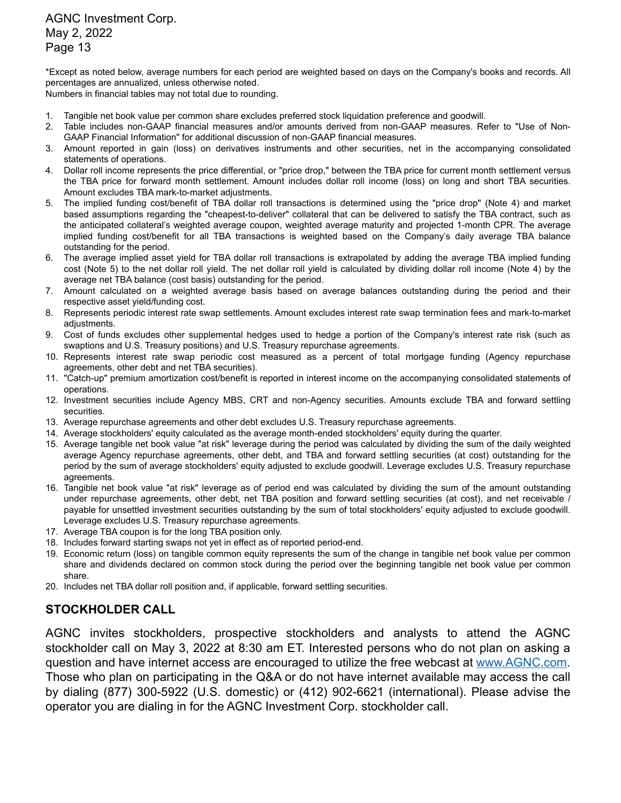\*Except as noted below, average numbers for each period are weighted based on days on the Company's books and records. All percentages are annualized, unless otherwise noted.

Numbers in financial tables may not total due to rounding.

- 1. Tangible net book value per common share excludes preferred stock liquidation preference and goodwill.
- 2. Table includes non-GAAP financial measures and/or amounts derived from non-GAAP measures. Refer to "Use of Non-GAAP Financial Information" for additional discussion of non-GAAP financial measures.
- 3. Amount reported in gain (loss) on derivatives instruments and other securities, net in the accompanying consolidated statements of operations.
- 4. Dollar roll income represents the price differential, or "price drop," between the TBA price for current month settlement versus the TBA price for forward month settlement. Amount includes dollar roll income (loss) on long and short TBA securities. Amount excludes TBA mark-to-market adjustments.
- 5. The implied funding cost/benefit of TBA dollar roll transactions is determined using the "price drop" (Note 4) and market based assumptions regarding the "cheapest-to-deliver" collateral that can be delivered to satisfy the TBA contract, such as the anticipated collateral's weighted average coupon, weighted average maturity and projected 1-month CPR. The average implied funding cost/benefit for all TBA transactions is weighted based on the Company's daily average TBA balance outstanding for the period.
- 6. The average implied asset yield for TBA dollar roll transactions is extrapolated by adding the average TBA implied funding cost (Note 5) to the net dollar roll yield. The net dollar roll yield is calculated by dividing dollar roll income (Note 4) by the average net TBA balance (cost basis) outstanding for the period.
- 7. Amount calculated on a weighted average basis based on average balances outstanding during the period and their respective asset yield/funding cost.
- 8. Represents periodic interest rate swap settlements. Amount excludes interest rate swap termination fees and mark-to-market adjustments.
- 9. Cost of funds excludes other supplemental hedges used to hedge a portion of the Company's interest rate risk (such as swaptions and U.S. Treasury positions) and U.S. Treasury repurchase agreements.
- 10. Represents interest rate swap periodic cost measured as a percent of total mortgage funding (Agency repurchase agreements, other debt and net TBA securities).
- 11. "Catch-up" premium amortization cost/benefit is reported in interest income on the accompanying consolidated statements of operations.
- 12. Investment securities include Agency MBS, CRT and non-Agency securities. Amounts exclude TBA and forward settling securities.
- 13. Average repurchase agreements and other debt excludes U.S. Treasury repurchase agreements.
- 14. Average stockholders' equity calculated as the average month-ended stockholders' equity during the quarter.
- 15. Average tangible net book value "at risk" leverage during the period was calculated by dividing the sum of the daily weighted average Agency repurchase agreements, other debt, and TBA and forward settling securities (at cost) outstanding for the period by the sum of average stockholders' equity adjusted to exclude goodwill. Leverage excludes U.S. Treasury repurchase agreements.
- 16. Tangible net book value "at risk" leverage as of period end was calculated by dividing the sum of the amount outstanding under repurchase agreements, other debt, net TBA position and forward settling securities (at cost), and net receivable / payable for unsettled investment securities outstanding by the sum of total stockholders' equity adjusted to exclude goodwill. Leverage excludes U.S. Treasury repurchase agreements.
- 17. Average TBA coupon is for the long TBA position only.
- 18. Includes forward starting swaps not yet in effect as of reported period-end.
- 19. Economic return (loss) on tangible common equity represents the sum of the change in tangible net book value per common share and dividends declared on common stock during the period over the beginning tangible net book value per common share.
- 20. Includes net TBA dollar roll position and, if applicable, forward settling securities.

### **STOCKHOLDER CALL**

AGNC invites stockholders, prospective stockholders and analysts to attend the AGNC stockholder call on May 3, 2022 at 8:30 am ET. Interested persons who do not plan on asking a question and have internet access are encouraged to utilize the free webcast at www.AGNC.com. Those who plan on participating in the Q&A or do not have internet available may access the call by dialing (877) 300-5922 (U.S. domestic) or (412) 902-6621 (international). Please advise the operator you are dialing in for the AGNC Investment Corp. stockholder call.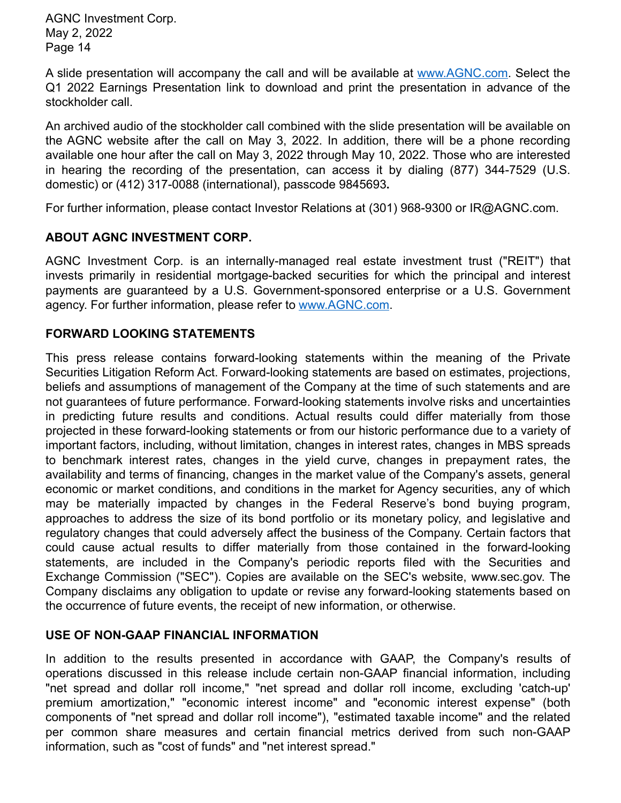A slide presentation will accompany the call and will be available at www.AGNC.com. Select the Q1 2022 Earnings Presentation link to download and print the presentation in advance of the stockholder call.

An archived audio of the stockholder call combined with the slide presentation will be available on the AGNC website after the call on May 3, 2022. In addition, there will be a phone recording available one hour after the call on May 3, 2022 through May 10, 2022. Those who are interested in hearing the recording of the presentation, can access it by dialing (877) 344-7529 (U.S. domestic) or (412) 317-0088 (international), passcode 9845693**.**

For further information, please contact Investor Relations at (301) 968-9300 or IR@AGNC.com.

# **ABOUT AGNC INVESTMENT CORP.**

AGNC Investment Corp. is an internally-managed real estate investment trust ("REIT") that invests primarily in residential mortgage-backed securities for which the principal and interest payments are guaranteed by a U.S. Government-sponsored enterprise or a U.S. Government agency. For further information, please refer to www.AGNC.com.

# **FORWARD LOOKING STATEMENTS**

This press release contains forward-looking statements within the meaning of the Private Securities Litigation Reform Act. Forward-looking statements are based on estimates, projections, beliefs and assumptions of management of the Company at the time of such statements and are not guarantees of future performance. Forward-looking statements involve risks and uncertainties in predicting future results and conditions. Actual results could differ materially from those projected in these forward-looking statements or from our historic performance due to a variety of important factors, including, without limitation, changes in interest rates, changes in MBS spreads to benchmark interest rates, changes in the yield curve, changes in prepayment rates, the availability and terms of financing, changes in the market value of the Company's assets, general economic or market conditions, and conditions in the market for Agency securities, any of which may be materially impacted by changes in the Federal Reserve's bond buying program, approaches to address the size of its bond portfolio or its monetary policy, and legislative and regulatory changes that could adversely affect the business of the Company. Certain factors that could cause actual results to differ materially from those contained in the forward-looking statements, are included in the Company's periodic reports filed with the Securities and Exchange Commission ("SEC"). Copies are available on the SEC's website, www.sec.gov. The Company disclaims any obligation to update or revise any forward-looking statements based on the occurrence of future events, the receipt of new information, or otherwise.

## **USE OF NON-GAAP FINANCIAL INFORMATION**

In addition to the results presented in accordance with GAAP, the Company's results of operations discussed in this release include certain non-GAAP financial information, including "net spread and dollar roll income," "net spread and dollar roll income, excluding 'catch-up' premium amortization," "economic interest income" and "economic interest expense" (both components of "net spread and dollar roll income"), "estimated taxable income" and the related per common share measures and certain financial metrics derived from such non-GAAP information, such as "cost of funds" and "net interest spread."